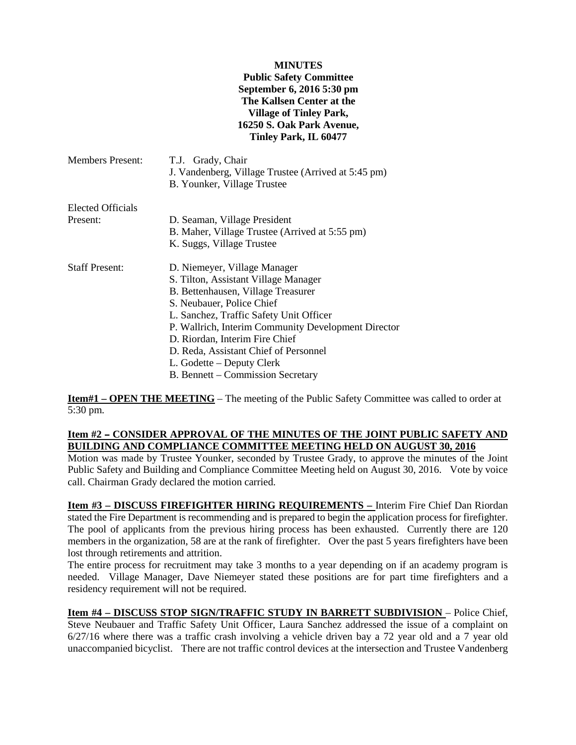#### **MINUTES**

## **Public Safety Committee September 6, 2016 5:30 pm The Kallsen Center at the Village of Tinley Park, 16250 S. Oak Park Avenue, Tinley Park, IL 60477**

| <b>Members Present:</b> | T.J. Grady, Chair<br>J. Vandenberg, Village Trustee (Arrived at 5:45 pm)<br>B. Younker, Village Trustee                                                                                                                                                                                                                                                                                |
|-------------------------|----------------------------------------------------------------------------------------------------------------------------------------------------------------------------------------------------------------------------------------------------------------------------------------------------------------------------------------------------------------------------------------|
| Elected Officials       |                                                                                                                                                                                                                                                                                                                                                                                        |
| Present:                | D. Seaman, Village President<br>B. Maher, Village Trustee (Arrived at 5:55 pm)<br>K. Suggs, Village Trustee                                                                                                                                                                                                                                                                            |
| <b>Staff Present:</b>   | D. Niemeyer, Village Manager<br>S. Tilton, Assistant Village Manager<br>B. Bettenhausen, Village Treasurer<br>S. Neubauer, Police Chief<br>L. Sanchez, Traffic Safety Unit Officer<br>P. Wallrich, Interim Community Development Director<br>D. Riordan, Interim Fire Chief<br>D. Reda, Assistant Chief of Personnel<br>L. Godette – Deputy Clerk<br>B. Bennett – Commission Secretary |

**Item#1 – OPEN THE MEETING** – The meeting of the Public Safety Committee was called to order at 5:30 pm.

# Item #2 - CONSIDER APPROVAL OF THE MINUTES OF THE JOINT PUBLIC SAFETY AND **BUILDING AND COMPLIANCE COMMITTEE MEETING HELD ON AUGUST 30, 2016**

Motion was made by Trustee Younker, seconded by Trustee Grady, to approve the minutes of the Joint Public Safety and Building and Compliance Committee Meeting held on August 30, 2016. Vote by voice call. Chairman Grady declared the motion carried.

**Item #3 – DISCUSS FIREFIGHTER HIRING REQUIREMENTS –** Interim Fire Chief Dan Riordan stated the Fire Department is recommending and is prepared to begin the application process for firefighter. The pool of applicants from the previous hiring process has been exhausted. Currently there are 120 members in the organization, 58 are at the rank of firefighter. Over the past 5 years firefighters have been lost through retirements and attrition.

The entire process for recruitment may take 3 months to a year depending on if an academy program is needed. Village Manager, Dave Niemeyer stated these positions are for part time firefighters and a residency requirement will not be required.

**Item #4 – DISCUSS STOP SIGN/TRAFFIC STUDY IN BARRETT SUBDIVISION** – Police Chief, Steve Neubauer and Traffic Safety Unit Officer, Laura Sanchez addressed the issue of a complaint on 6/27/16 where there was a traffic crash involving a vehicle driven bay a 72 year old and a 7 year old unaccompanied bicyclist. There are not traffic control devices at the intersection and Trustee Vandenberg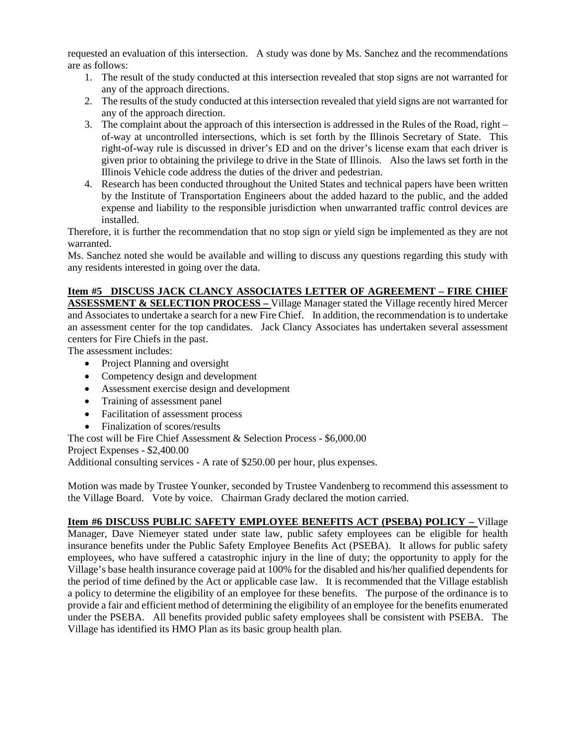requested an evaluation of this intersection. A study was done by Ms. Sanchez and the recommendations are as follows:

- 1. The result of the study conducted at this intersection revealed that stop signs are not warranted for any of the approach directions.
- 2. The results of the study conducted at this intersection revealed that yield signs are not warranted for any of the approach direction.
- 3. The complaint about the approach of this intersection is addressed in the Rules of the Road, right of-way at uncontrolled intersections, which is set forth by the Illinois Secretary of State. This right-of-way rule is discussed in driver's ED and on the driver's license exam that each driver is given prior to obtaining the privilege to drive in the State of Illinois. Also the laws set forth in the Illinois Vehicle code address the duties of the driver and pedestrian.
- 4. Research has been conducted throughout the United States and technical papers have been written by the Institute of Transportation Engineers about the added hazard to the public, and the added expense and liability to the responsible jurisdiction when unwarranted traffic control devices are installed.

Therefore, it is further the recommendation that no stop sign or yield sign be implemented as they are not warranted.

Ms. Sanchez noted she would be available and willing to discuss any questions regarding this study with any residents interested in going over the data.

# **Item #5 DISCUSS JACK CLANCY ASSOCIATES LETTER OF AGREEMENT – FIRE CHIEF**

**ASSESSMENT & SELECTION PROCESS –** Village Manager stated the Village recently hired Mercer and Associates to undertake a search for a new Fire Chief. In addition, the recommendation is to undertake an assessment center for the top candidates. Jack Clancy Associates has undertaken several assessment centers for Fire Chiefs in the past.

The assessment includes:

- Project Planning and oversight
- Competency design and development
- Assessment exercise design and development
- Training of assessment panel
- Facilitation of assessment process
- Finalization of scores/results

The cost will be Fire Chief Assessment & Selection Process - \$6,000.00

Project Expenses - \$2,400.00

Additional consulting services - A rate of \$250.00 per hour, plus expenses.

Motion was made by Trustee Younker, seconded by Trustee Vandenberg to recommend this assessment to the Village Board. Vote by voice. Chairman Grady declared the motion carried.

**Item #6 DISCUSS PUBLIC SAFETY EMPLOYEE BENEFITS ACT (PSEBA) POLICY –** Village Manager, Dave Niemeyer stated under state law, public safety employees can be eligible for health insurance benefits under the Public Safety Employee Benefits Act (PSEBA). It allows for public safety employees, who have suffered a catastrophic injury in the line of duty; the opportunity to apply for the Village's base health insurance coverage paid at 100% for the disabled and his/her qualified dependents for the period of time defined by the Act or applicable case law. It is recommended that the Village establish a policy to determine the eligibility of an employee for these benefits. The purpose of the ordinance is to provide a fair and efficient method of determining the eligibility of an employee for the benefits enumerated under the PSEBA. All benefits provided public safety employees shall be consistent with PSEBA. The Village has identified its HMO Plan as its basic group health plan.